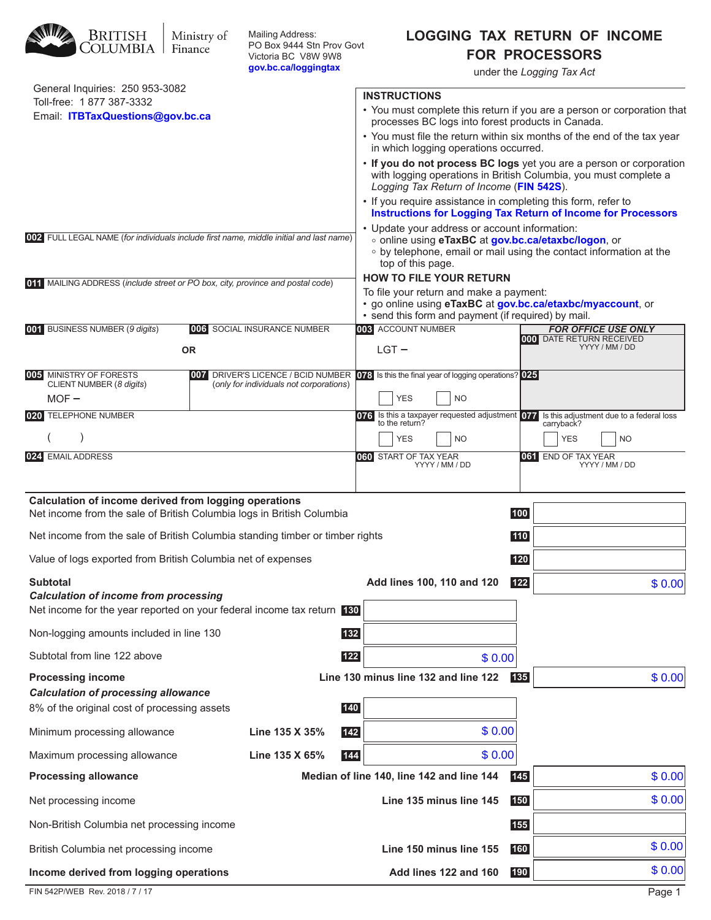| <b>BRITISH</b><br>COLUMBIA                                                                                                     | Ministry of<br>Finance | Mailing Address:<br>PO Box 9444 Stn Prov Govt<br>Victoria BC V8W 9W8<br>gov.bc.ca/loggingtax |       |                                                                                                                                                                                                 |     | <b>LOGGING TAX RETURN OF INCOME</b><br><b>FOR PROCESSORS</b><br>under the Logging Tax Act                                               |  |
|--------------------------------------------------------------------------------------------------------------------------------|------------------------|----------------------------------------------------------------------------------------------|-------|-------------------------------------------------------------------------------------------------------------------------------------------------------------------------------------------------|-----|-----------------------------------------------------------------------------------------------------------------------------------------|--|
| General Inquiries: 250 953-3082                                                                                                |                        |                                                                                              |       | <b>INSTRUCTIONS</b>                                                                                                                                                                             |     |                                                                                                                                         |  |
| Toll-free: 1 877 387-3332<br>Email: ITBTaxQuestions@gov.bc.ca                                                                  |                        |                                                                                              |       | • You must complete this return if you are a person or corporation that                                                                                                                         |     |                                                                                                                                         |  |
|                                                                                                                                |                        |                                                                                              |       | processes BC logs into forest products in Canada.                                                                                                                                               |     | • You must file the return within six months of the end of the tax year                                                                 |  |
|                                                                                                                                |                        |                                                                                              |       | in which logging operations occurred.                                                                                                                                                           |     |                                                                                                                                         |  |
|                                                                                                                                |                        |                                                                                              |       | Logging Tax Return of Income (FIN 542S).                                                                                                                                                        |     | • If you do not process BC logs yet you are a person or corporation<br>with logging operations in British Columbia, you must complete a |  |
|                                                                                                                                |                        |                                                                                              |       | • If you require assistance in completing this form, refer to                                                                                                                                   |     | <b>Instructions for Logging Tax Return of Income for Processors</b>                                                                     |  |
| 002 FULL LEGAL NAME (for individuals include first name, middle initial and last name)                                         |                        |                                                                                              |       | • Update your address or account information:<br>o online using eTaxBC at gov.bc.ca/etaxbc/logon, or<br>• by telephone, email or mail using the contact information at the<br>top of this page. |     |                                                                                                                                         |  |
|                                                                                                                                |                        |                                                                                              |       | <b>HOW TO FILE YOUR RETURN</b>                                                                                                                                                                  |     |                                                                                                                                         |  |
| 011 MAILING ADDRESS (include street or PO box, city, province and postal code)                                                 |                        |                                                                                              |       | To file your return and make a payment:<br>· go online using eTaxBC at gov.bc.ca/etaxbc/myaccount, or<br>• send this form and payment (if required) by mail.                                    |     |                                                                                                                                         |  |
| 001 BUSINESS NUMBER (9 digits)                                                                                                 |                        | 006 SOCIAL INSURANCE NUMBER                                                                  |       | 003 ACCOUNT NUMBER                                                                                                                                                                              |     | <b>FOR OFFICE USE ONLY</b><br>000 DATE RETURN RECEIVED                                                                                  |  |
|                                                                                                                                | <b>OR</b>              |                                                                                              |       | $LGT -$                                                                                                                                                                                         |     | YYYY / MM / DD                                                                                                                          |  |
| MINISTRY OF FORESTS<br> 005                                                                                                    |                        | 007 DRIVER'S LICENCE / BCID NUMBER                                                           |       | 078 Is this the final year of logging operations? 025                                                                                                                                           |     |                                                                                                                                         |  |
| CLIENT NUMBER (8 digits)<br>$MOF -$                                                                                            |                        | (only for individuals not corporations)                                                      |       | <b>YES</b><br><b>NO</b>                                                                                                                                                                         |     |                                                                                                                                         |  |
| TELEPHONE NUMBER<br> 020                                                                                                       |                        |                                                                                              |       |                                                                                                                                                                                                 |     | 073 Is this a taxpayer requested adjustment 077 Is this adjustment due to a federal loss to the return?<br>carryback?                   |  |
|                                                                                                                                |                        |                                                                                              |       | <b>YES</b><br><b>NO</b>                                                                                                                                                                         |     | <b>YES</b><br><b>NO</b>                                                                                                                 |  |
| 024 EMAIL ADDRESS                                                                                                              |                        |                                                                                              |       | <b>060 START OF TAX YEAR</b><br>YYYY / MM / DD                                                                                                                                                  |     | 061 END OF TAX YEAR<br>YYYY / MM / DD                                                                                                   |  |
| Calculation of income derived from logging operations<br>Net income from the sale of British Columbia logs in British Columbia |                        |                                                                                              |       |                                                                                                                                                                                                 | 100 |                                                                                                                                         |  |
| Net income from the sale of British Columbia standing timber or timber rights                                                  |                        |                                                                                              |       |                                                                                                                                                                                                 | 110 |                                                                                                                                         |  |
| Value of logs exported from British Columbia net of expenses                                                                   |                        |                                                                                              |       |                                                                                                                                                                                                 | 120 |                                                                                                                                         |  |
| <b>Subtotal</b>                                                                                                                |                        |                                                                                              |       | Add lines 100, 110 and 120                                                                                                                                                                      | 122 | \$0.00                                                                                                                                  |  |
| <b>Calculation of income from processing</b><br>Net income for the year reported on your federal income tax return 130         |                        |                                                                                              |       |                                                                                                                                                                                                 |     |                                                                                                                                         |  |
| Non-logging amounts included in line 130                                                                                       |                        |                                                                                              | 132   |                                                                                                                                                                                                 |     |                                                                                                                                         |  |
| Subtotal from line 122 above                                                                                                   |                        |                                                                                              | $122$ | \$0.00                                                                                                                                                                                          |     |                                                                                                                                         |  |
| <b>Processing income</b>                                                                                                       |                        |                                                                                              |       | Line 130 minus line 132 and line 122                                                                                                                                                            | 135 | \$0.00                                                                                                                                  |  |
| <b>Calculation of processing allowance</b><br>8% of the original cost of processing assets                                     |                        |                                                                                              | 140   |                                                                                                                                                                                                 |     |                                                                                                                                         |  |
|                                                                                                                                |                        | Line 135 X 35%                                                                               | 142   | \$0.00                                                                                                                                                                                          |     |                                                                                                                                         |  |
| Minimum processing allowance                                                                                                   |                        |                                                                                              |       |                                                                                                                                                                                                 |     |                                                                                                                                         |  |
| Maximum processing allowance                                                                                                   |                        | Line 135 X 65%                                                                               | 144   | \$0.00                                                                                                                                                                                          | 145 |                                                                                                                                         |  |
| <b>Processing allowance</b>                                                                                                    |                        |                                                                                              |       | Median of line 140, line 142 and line 144                                                                                                                                                       |     | \$0.00                                                                                                                                  |  |
| Net processing income                                                                                                          |                        |                                                                                              |       | Line 135 minus line 145                                                                                                                                                                         | 150 | \$0.00                                                                                                                                  |  |
| Non-British Columbia net processing income                                                                                     |                        |                                                                                              |       |                                                                                                                                                                                                 | 155 |                                                                                                                                         |  |
| British Columbia net processing income                                                                                         |                        |                                                                                              |       | Line 150 minus line 155                                                                                                                                                                         | 160 | \$0.00                                                                                                                                  |  |
| Income derived from logging operations                                                                                         |                        |                                                                                              |       | Add lines 122 and 160                                                                                                                                                                           | 190 | \$0.00                                                                                                                                  |  |